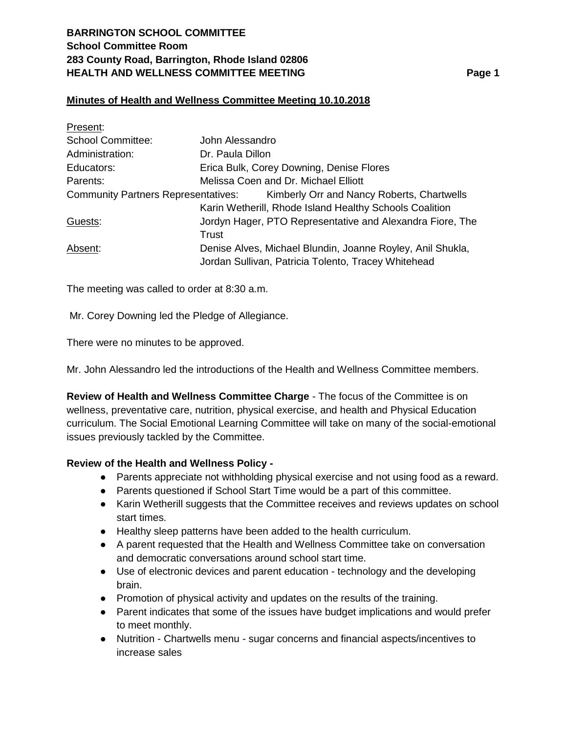# **BARRINGTON SCHOOL COMMITTEE School Committee Room 283 County Road, Barrington, Rhode Island 02806 HEALTH AND WELLNESS COMMITTEE MEETING Page 1**

## **Minutes of Health and Wellness Committee Meeting 10.10.2018**

| Present:                                   |                                                            |
|--------------------------------------------|------------------------------------------------------------|
| <b>School Committee:</b>                   | John Alessandro                                            |
| Administration:                            | Dr. Paula Dillon                                           |
| Educators:                                 | Erica Bulk, Corey Downing, Denise Flores                   |
| Parents:                                   | Melissa Coen and Dr. Michael Elliott                       |
| <b>Community Partners Representatives:</b> | Kimberly Orr and Nancy Roberts, Chartwells                 |
|                                            | Karin Wetherill, Rhode Island Healthy Schools Coalition    |
| Guests:                                    | Jordyn Hager, PTO Representative and Alexandra Fiore, The  |
|                                            | Trust                                                      |
| Absent:                                    | Denise Alves, Michael Blundin, Joanne Royley, Anil Shukla, |
|                                            | Jordan Sullivan, Patricia Tolento, Tracey Whitehead        |

The meeting was called to order at 8:30 a.m.

Mr. Corey Downing led the Pledge of Allegiance.

There were no minutes to be approved.

Mr. John Alessandro led the introductions of the Health and Wellness Committee members.

**Review of Health and Wellness Committee Charge** - The focus of the Committee is on wellness, preventative care, nutrition, physical exercise, and health and Physical Education curriculum. The Social Emotional Learning Committee will take on many of the social-emotional issues previously tackled by the Committee.

### **Review of the Health and Wellness Policy -**

- Parents appreciate not withholding physical exercise and not using food as a reward.
- Parents questioned if School Start Time would be a part of this committee.
- Karin Wetherill suggests that the Committee receives and reviews updates on school start times.
- Healthy sleep patterns have been added to the health curriculum.
- A parent requested that the Health and Wellness Committee take on conversation and democratic conversations around school start time.
- Use of electronic devices and parent education technology and the developing brain.
- Promotion of physical activity and updates on the results of the training.
- Parent indicates that some of the issues have budget implications and would prefer to meet monthly.
- Nutrition Chartwells menu sugar concerns and financial aspects/incentives to increase sales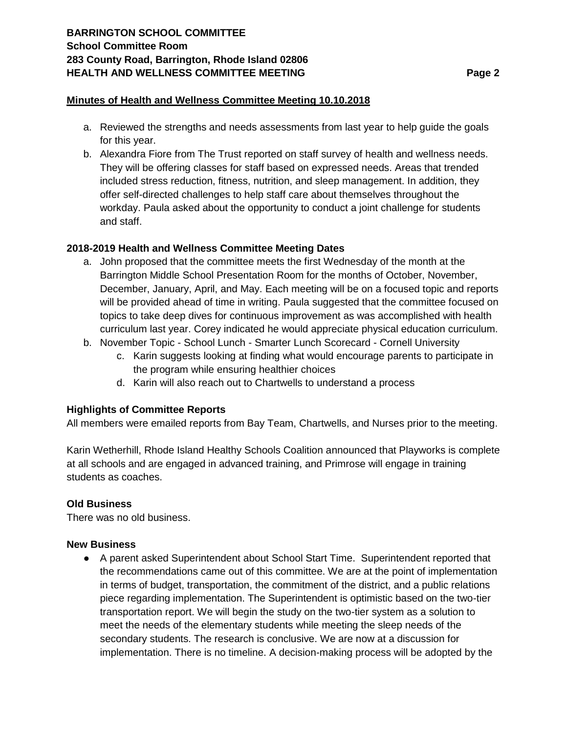#### **Minutes of Health and Wellness Committee Meeting 10.10.2018**

- a. Reviewed the strengths and needs assessments from last year to help guide the goals for this year.
- b. Alexandra Fiore from The Trust reported on staff survey of health and wellness needs. They will be offering classes for staff based on expressed needs. Areas that trended included stress reduction, fitness, nutrition, and sleep management. In addition, they offer self-directed challenges to help staff care about themselves throughout the workday. Paula asked about the opportunity to conduct a joint challenge for students and staff.

### **2018-2019 Health and Wellness Committee Meeting Dates**

- a. John proposed that the committee meets the first Wednesday of the month at the Barrington Middle School Presentation Room for the months of October, November, December, January, April, and May. Each meeting will be on a focused topic and reports will be provided ahead of time in writing. Paula suggested that the committee focused on topics to take deep dives for continuous improvement as was accomplished with health curriculum last year. Corey indicated he would appreciate physical education curriculum.
- b. November Topic School Lunch Smarter Lunch Scorecard Cornell University
	- c. Karin suggests looking at finding what would encourage parents to participate in the program while ensuring healthier choices
	- d. Karin will also reach out to Chartwells to understand a process

### **Highlights of Committee Reports**

All members were emailed reports from Bay Team, Chartwells, and Nurses prior to the meeting.

Karin Wetherhill, Rhode Island Healthy Schools Coalition announced that Playworks is complete at all schools and are engaged in advanced training, and Primrose will engage in training students as coaches.

#### **Old Business**

There was no old business.

#### **New Business**

● A parent asked Superintendent about School Start Time. Superintendent reported that the recommendations came out of this committee. We are at the point of implementation in terms of budget, transportation, the commitment of the district, and a public relations piece regarding implementation. The Superintendent is optimistic based on the two-tier transportation report. We will begin the study on the two-tier system as a solution to meet the needs of the elementary students while meeting the sleep needs of the secondary students. The research is conclusive. We are now at a discussion for implementation. There is no timeline. A decision-making process will be adopted by the